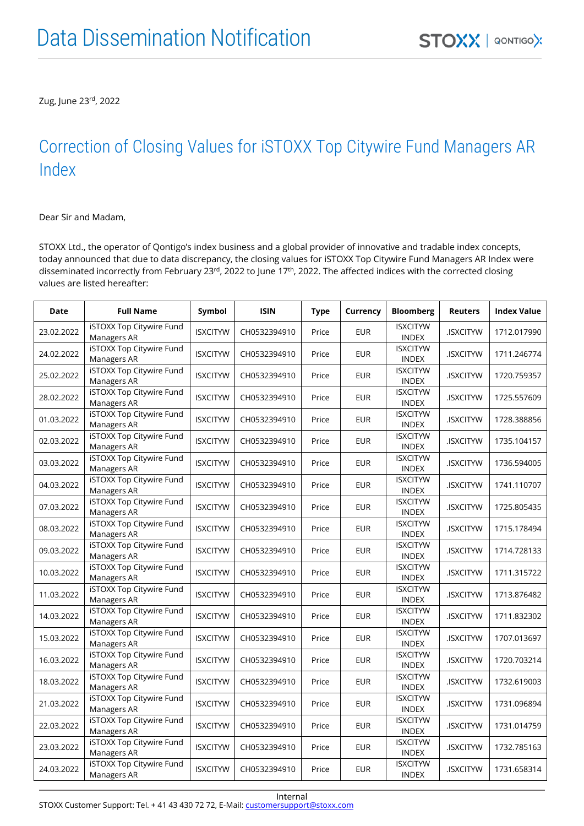Zug, June 23rd , 2022

## Correction of Closing Values for iSTOXX Top Citywire Fund Managers AR Index

Dear Sir and Madam,

STOXX Ltd., the operator of Qontigo's index business and a global provider of innovative and tradable index concepts, today announced that due to data discrepancy, the closing values for iSTOXX Top Citywire Fund Managers AR Index were disseminated incorrectly from February 23<sup>rd</sup>, 2022 to June 17<sup>th</sup>, 2022. The affected indices with the corrected closing values are listed hereafter:

| <b>Date</b> | <b>Full Name</b>                        | Symbol          | <b>ISIN</b>  | <b>Type</b> | Currency   | <b>Bloomberg</b>                | <b>Reuters</b>  | <b>Index Value</b> |
|-------------|-----------------------------------------|-----------------|--------------|-------------|------------|---------------------------------|-----------------|--------------------|
| 23.02.2022  | iSTOXX Top Citywire Fund<br>Managers AR | <b>ISXCITYW</b> | CH0532394910 | Price       | <b>EUR</b> | <b>ISXCITYW</b><br><b>INDEX</b> | .ISXCITYW       | 1712.017990        |
| 24.02.2022  | iSTOXX Top Citywire Fund<br>Managers AR | <b>ISXCITYW</b> | CH0532394910 | Price       | <b>EUR</b> | <b>ISXCITYW</b><br><b>INDEX</b> | <b>ISXCITYW</b> | 1711.246774        |
| 25.02.2022  | iSTOXX Top Citywire Fund<br>Managers AR | <b>ISXCITYW</b> | CH0532394910 | Price       | <b>EUR</b> | <b>ISXCITYW</b><br><b>INDEX</b> | .ISXCITYW       | 1720.759357        |
| 28.02.2022  | iSTOXX Top Citywire Fund<br>Managers AR | <b>ISXCITYW</b> | CH0532394910 | Price       | <b>EUR</b> | <b>ISXCITYW</b><br><b>INDEX</b> | .ISXCITYW       | 1725.557609        |
| 01.03.2022  | iSTOXX Top Citywire Fund<br>Managers AR | <b>ISXCITYW</b> | CH0532394910 | Price       | <b>EUR</b> | <b>ISXCITYW</b><br>INDEX        | .ISXCITYW       | 1728.388856        |
| 02.03.2022  | iSTOXX Top Citywire Fund<br>Managers AR | <b>ISXCITYW</b> | CH0532394910 | Price       | <b>EUR</b> | <b>ISXCITYW</b><br><b>INDEX</b> | .ISXCITYW       | 1735.104157        |
| 03.03.2022  | iSTOXX Top Citywire Fund<br>Managers AR | <b>ISXCITYW</b> | CH0532394910 | Price       | EUR        | <b>ISXCITYW</b><br><b>INDEX</b> | .ISXCITYW       | 1736.594005        |
| 04.03.2022  | iSTOXX Top Citywire Fund<br>Managers AR | <b>ISXCITYW</b> | CH0532394910 | Price       | <b>EUR</b> | <b>ISXCITYW</b><br><b>INDEX</b> | .ISXCITYW       | 1741.110707        |
| 07.03.2022  | iSTOXX Top Citywire Fund<br>Managers AR | <b>ISXCITYW</b> | CH0532394910 | Price       | <b>EUR</b> | <b>ISXCITYW</b><br><b>INDEX</b> | .ISXCITYW       | 1725.805435        |
| 08.03.2022  | iSTOXX Top Citywire Fund<br>Managers AR | <b>ISXCITYW</b> | CH0532394910 | Price       | <b>EUR</b> | <b>ISXCITYW</b><br><b>INDEX</b> | .ISXCITYW       | 1715.178494        |
| 09.03.2022  | iSTOXX Top Citywire Fund<br>Managers AR | <b>ISXCITYW</b> | CH0532394910 | Price       | <b>EUR</b> | <b>ISXCITYW</b><br><b>INDEX</b> | .ISXCITYW       | 1714.728133        |
| 10.03.2022  | iSTOXX Top Citywire Fund<br>Managers AR | <b>ISXCITYW</b> | CH0532394910 | Price       | <b>EUR</b> | <b>ISXCITYW</b><br><b>INDEX</b> | .ISXCITYW       | 1711.315722        |
| 11.03.2022  | iSTOXX Top Citywire Fund<br>Managers AR | <b>ISXCITYW</b> | CH0532394910 | Price       | <b>EUR</b> | <b>ISXCITYW</b><br><b>INDEX</b> | .ISXCITYW       | 1713.876482        |
| 14.03.2022  | iSTOXX Top Citywire Fund<br>Managers AR | <b>ISXCITYW</b> | CH0532394910 | Price       | <b>EUR</b> | <b>ISXCITYW</b><br><b>INDEX</b> | .ISXCITYW       | 1711.832302        |
| 15.03.2022  | iSTOXX Top Citywire Fund<br>Managers AR | <b>ISXCITYW</b> | CH0532394910 | Price       | <b>EUR</b> | <b>ISXCITYW</b><br><b>INDEX</b> | .ISXCITYW       | 1707.013697        |
| 16.03.2022  | iSTOXX Top Citywire Fund<br>Managers AR | <b>ISXCITYW</b> | CH0532394910 | Price       | <b>EUR</b> | <b>ISXCITYW</b><br><b>INDEX</b> | .ISXCITYW       | 1720.703214        |
| 18.03.2022  | iSTOXX Top Citywire Fund<br>Managers AR | <b>ISXCITYW</b> | CH0532394910 | Price       | <b>EUR</b> | <b>ISXCITYW</b><br><b>INDEX</b> | .ISXCITYW       | 1732.619003        |
| 21.03.2022  | iSTOXX Top Citywire Fund<br>Managers AR | <b>ISXCITYW</b> | CH0532394910 | Price       | <b>EUR</b> | <b>ISXCITYW</b><br><b>INDEX</b> | .ISXCITYW       | 1731.096894        |
| 22.03.2022  | iSTOXX Top Citywire Fund<br>Managers AR | <b>ISXCITYW</b> | CH0532394910 | Price       | <b>EUR</b> | <b>ISXCITYW</b><br><b>INDEX</b> | .ISXCITYW       | 1731.014759        |
| 23.03.2022  | iSTOXX Top Citywire Fund<br>Managers AR | <b>ISXCITYW</b> | CH0532394910 | Price       | <b>EUR</b> | <b>ISXCITYW</b><br><b>INDEX</b> | .ISXCITYW       | 1732.785163        |
| 24.03.2022  | iSTOXX Top Citywire Fund<br>Managers AR | <b>ISXCITYW</b> | CH0532394910 | Price       | <b>EUR</b> | <b>ISXCITYW</b><br><b>INDEX</b> | .ISXCITYW       | 1731.658314        |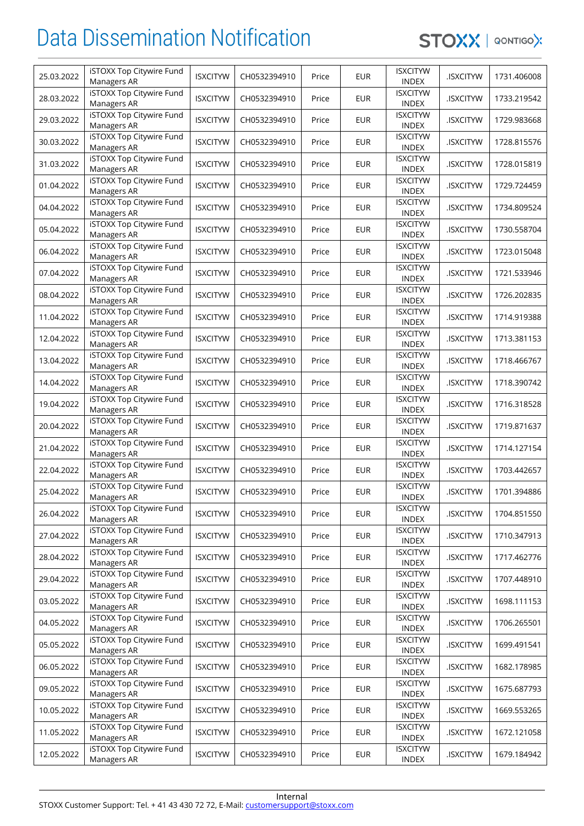## Data Dissemination Notification

STOXX | QONTIGOX

| 25.03.2022 | iSTOXX Top Citywire Fund<br>Managers AR        | <b>ISXCITYW</b> | CH0532394910 | Price | <b>EUR</b> | <b>ISXCITYW</b><br><b>INDEX</b> | .ISXCITYW       | 1731.406008 |
|------------|------------------------------------------------|-----------------|--------------|-------|------------|---------------------------------|-----------------|-------------|
| 28.03.2022 | iSTOXX Top Citywire Fund<br>Managers AR        | <b>ISXCITYW</b> | CH0532394910 | Price | <b>EUR</b> | <b>ISXCITYW</b><br><b>INDEX</b> | <b>ISXCITYW</b> | 1733.219542 |
| 29.03.2022 | iSTOXX Top Citywire Fund<br>Managers AR        | <b>ISXCITYW</b> | CH0532394910 | Price | <b>EUR</b> | <b>ISXCITYW</b><br><b>INDEX</b> | <b>ISXCITYW</b> | 1729.983668 |
| 30.03.2022 | iSTOXX Top Citywire Fund<br>Managers AR        | <b>ISXCITYW</b> | CH0532394910 | Price | <b>EUR</b> | <b>ISXCITYW</b><br><b>INDEX</b> | .ISXCITYW       | 1728.815576 |
| 31.03.2022 | iSTOXX Top Citywire Fund<br>Managers AR        | <b>ISXCITYW</b> | CH0532394910 | Price | <b>EUR</b> | <b>ISXCITYW</b><br><b>INDEX</b> | .ISXCITYW       | 1728.015819 |
| 01.04.2022 | iSTOXX Top Citywire Fund<br>Managers AR        | <b>ISXCITYW</b> | CH0532394910 | Price | <b>EUR</b> | <b>ISXCITYW</b><br><b>INDEX</b> | .ISXCITYW       | 1729.724459 |
| 04.04.2022 | iSTOXX Top Citywire Fund<br>Managers AR        | <b>ISXCITYW</b> | CH0532394910 | Price | <b>EUR</b> | <b>ISXCITYW</b><br><b>INDEX</b> | .ISXCITYW       | 1734.809524 |
| 05.04.2022 | iSTOXX Top Citywire Fund<br>Managers AR        | <b>ISXCITYW</b> | CH0532394910 | Price | <b>EUR</b> | <b>ISXCITYW</b><br><b>INDEX</b> | .ISXCITYW       | 1730.558704 |
| 06.04.2022 | iSTOXX Top Citywire Fund<br>Managers AR        | <b>ISXCITYW</b> | CH0532394910 | Price | <b>EUR</b> | <b>ISXCITYW</b><br><b>INDEX</b> | .ISXCITYW       | 1723.015048 |
| 07.04.2022 | iSTOXX Top Citywire Fund<br>Managers AR        | <b>ISXCITYW</b> | CH0532394910 | Price | <b>EUR</b> | <b>ISXCITYW</b><br><b>INDEX</b> | <b>ISXCITYW</b> | 1721.533946 |
| 08.04.2022 | iSTOXX Top Citywire Fund<br>Managers AR        | <b>ISXCITYW</b> | CH0532394910 | Price | <b>EUR</b> | <b>ISXCITYW</b><br><b>INDEX</b> | .ISXCITYW       | 1726.202835 |
| 11.04.2022 | iSTOXX Top Citywire Fund<br>Managers AR        | <b>ISXCITYW</b> | CH0532394910 | Price | <b>EUR</b> | <b>ISXCITYW</b><br><b>INDEX</b> | .ISXCITYW       | 1714.919388 |
| 12.04.2022 | iSTOXX Top Citywire Fund<br>Managers AR        | <b>ISXCITYW</b> | CH0532394910 | Price | <b>EUR</b> | <b>ISXCITYW</b><br><b>INDEX</b> | .ISXCITYW       | 1713.381153 |
| 13.04.2022 | iSTOXX Top Citywire Fund<br>Managers AR        | <b>ISXCITYW</b> | CH0532394910 | Price | <b>EUR</b> | <b>ISXCITYW</b><br><b>INDEX</b> | .ISXCITYW       | 1718.466767 |
| 14.04.2022 | iSTOXX Top Citywire Fund<br>Managers AR        | <b>ISXCITYW</b> | CH0532394910 | Price | <b>EUR</b> | <b>ISXCITYW</b><br><b>INDEX</b> | .ISXCITYW       | 1718.390742 |
| 19.04.2022 | iSTOXX Top Citywire Fund<br>Managers AR        | <b>ISXCITYW</b> | CH0532394910 | Price | <b>EUR</b> | <b>ISXCITYW</b><br><b>INDEX</b> | <b>ISXCITYW</b> | 1716.318528 |
| 20.04.2022 | iSTOXX Top Citywire Fund<br>Managers AR        | <b>ISXCITYW</b> | CH0532394910 | Price | <b>EUR</b> | <b>ISXCITYW</b><br><b>INDEX</b> | .ISXCITYW       | 1719.871637 |
| 21.04.2022 | iSTOXX Top Citywire Fund<br>Managers AR        | <b>ISXCITYW</b> | CH0532394910 | Price | <b>EUR</b> | <b>ISXCITYW</b><br><b>INDEX</b> | .ISXCITYW       | 1714.127154 |
| 22.04.2022 | iSTOXX Top Citywire Fund<br>Managers AR        | <b>ISXCITYW</b> | CH0532394910 | Price | <b>EUR</b> | <b>ISXCITYW</b><br><b>INDEX</b> | .ISXCITYW       | 1703.442657 |
| 25.04.2022 | <b>iSTOXX Top Citywire Fund</b><br>Managers AR | <b>ISXCITYW</b> | CH0532394910 | Price | <b>EUR</b> | <b>ISXCITYW</b><br><b>INDEX</b> | .ISXCITYW       | 1701.394886 |
| 26.04.2022 | iSTOXX Top Citywire Fund<br>Managers AR        | <b>ISXCITYW</b> | CH0532394910 | Price | <b>EUR</b> | <b>ISXCITYW</b><br><b>INDEX</b> | .ISXCITYW       | 1704.851550 |
| 27.04.2022 | iSTOXX Top Citywire Fund<br>Managers AR        | <b>ISXCITYW</b> | CH0532394910 | Price | <b>EUR</b> | <b>ISXCITYW</b><br><b>INDEX</b> | .ISXCITYW       | 1710.347913 |
| 28.04.2022 | iSTOXX Top Citywire Fund<br>Managers AR        | <b>ISXCITYW</b> | CH0532394910 | Price | <b>EUR</b> | <b>ISXCITYW</b><br><b>INDEX</b> | .ISXCITYW       | 1717.462776 |
| 29.04.2022 | iSTOXX Top Citywire Fund<br>Managers AR        | <b>ISXCITYW</b> | CH0532394910 | Price | <b>EUR</b> | <b>ISXCITYW</b><br><b>INDEX</b> | .ISXCITYW       | 1707.448910 |
| 03.05.2022 | iSTOXX Top Citywire Fund<br>Managers AR        | <b>ISXCITYW</b> | CH0532394910 | Price | <b>EUR</b> | <b>ISXCITYW</b><br><b>INDEX</b> | .ISXCITYW       | 1698.111153 |
| 04.05.2022 | iSTOXX Top Citywire Fund<br>Managers AR        | <b>ISXCITYW</b> | CH0532394910 | Price | <b>EUR</b> | <b>ISXCITYW</b><br><b>INDEX</b> | .ISXCITYW       | 1706.265501 |
| 05.05.2022 | iSTOXX Top Citywire Fund<br>Managers AR        | <b>ISXCITYW</b> | CH0532394910 | Price | <b>EUR</b> | <b>ISXCITYW</b><br><b>INDEX</b> | .ISXCITYW       | 1699.491541 |
| 06.05.2022 | iSTOXX Top Citywire Fund<br>Managers AR        | <b>ISXCITYW</b> | CH0532394910 | Price | <b>EUR</b> | <b>ISXCITYW</b><br><b>INDEX</b> | .ISXCITYW       | 1682.178985 |
| 09.05.2022 | iSTOXX Top Citywire Fund<br>Managers AR        | <b>ISXCITYW</b> | CH0532394910 | Price | <b>EUR</b> | <b>ISXCITYW</b><br><b>INDEX</b> | .ISXCITYW       | 1675.687793 |
| 10.05.2022 | iSTOXX Top Citywire Fund<br>Managers AR        | <b>ISXCITYW</b> | CH0532394910 | Price | <b>EUR</b> | <b>ISXCITYW</b><br><b>INDEX</b> | .ISXCITYW       | 1669.553265 |
| 11.05.2022 | iSTOXX Top Citywire Fund<br>Managers AR        | <b>ISXCITYW</b> | CH0532394910 | Price | <b>EUR</b> | <b>ISXCITYW</b><br><b>INDEX</b> | .ISXCITYW       | 1672.121058 |
| 12.05.2022 | iSTOXX Top Citywire Fund<br>Managers AR        | <b>ISXCITYW</b> | CH0532394910 | Price | <b>EUR</b> | <b>ISXCITYW</b><br><b>INDEX</b> | .ISXCITYW       | 1679.184942 |